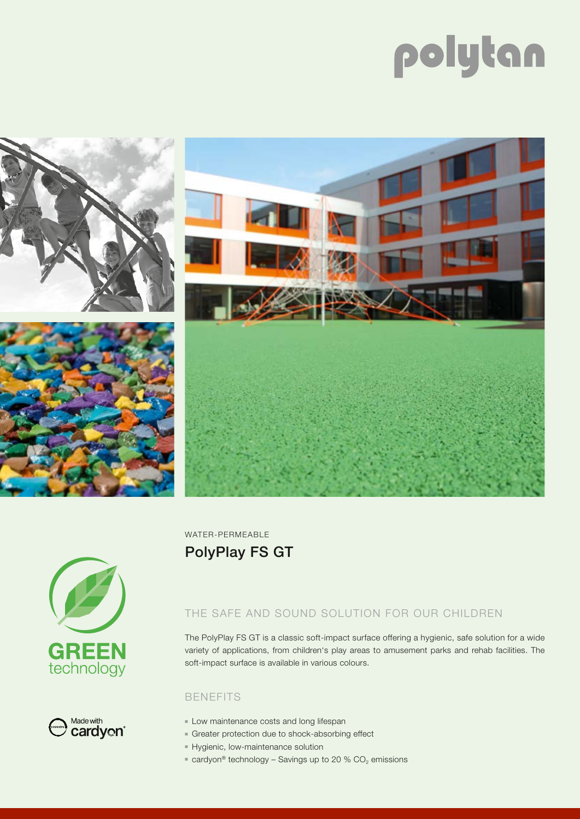# polytan









WATER-PERMEABLE PolyPlay FS GT

## THE SAFE AND SOUND SOLUTION FOR OUR CHILDREN

The PolyPlay FS GT is a classic soft-impact surface offering a hygienic, safe solution for a wide variety of applications, from children's play areas to amusement parks and rehab facilities. The soft-impact surface is available in various colours.

#### BENEFITS

- **Low maintenance costs and long lifespan**
- <sup>n</sup> Greater protection due to shock-absorbing effect
- **F** Hygienic, low-maintenance solution
- cardyon<sup>®</sup> technology Savings up to 20 %  $CO<sub>2</sub>$  emissions